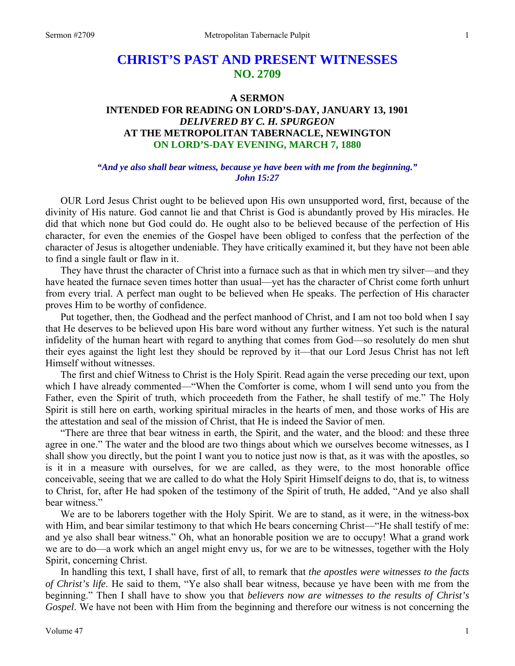# **CHRIST'S PAST AND PRESENT WITNESSES NO. 2709**

#### **A SERMON**

## **INTENDED FOR READING ON LORD'S-DAY, JANUARY 13, 1901**  *DELIVERED BY C. H. SPURGEON*  **AT THE METROPOLITAN TABERNACLE, NEWINGTON ON LORD'S-DAY EVENING, MARCH 7, 1880**

### *"And ye also shall bear witness, because ye have been with me from the beginning." John 15:27*

OUR Lord Jesus Christ ought to be believed upon His own unsupported word, first, because of the divinity of His nature. God cannot lie and that Christ is God is abundantly proved by His miracles. He did that which none but God could do. He ought also to be believed because of the perfection of His character, for even the enemies of the Gospel have been obliged to confess that the perfection of the character of Jesus is altogether undeniable. They have critically examined it, but they have not been able to find a single fault or flaw in it.

 They have thrust the character of Christ into a furnace such as that in which men try silver—and they have heated the furnace seven times hotter than usual—yet has the character of Christ come forth unhurt from every trial. A perfect man ought to be believed when He speaks. The perfection of His character proves Him to be worthy of confidence.

 Put together, then, the Godhead and the perfect manhood of Christ, and I am not too bold when I say that He deserves to be believed upon His bare word without any further witness. Yet such is the natural infidelity of the human heart with regard to anything that comes from God—so resolutely do men shut their eyes against the light lest they should be reproved by it—that our Lord Jesus Christ has not left Himself without witnesses.

 The first and chief Witness to Christ is the Holy Spirit. Read again the verse preceding our text, upon which I have already commented—"When the Comforter is come, whom I will send unto you from the Father, even the Spirit of truth, which proceedeth from the Father, he shall testify of me." The Holy Spirit is still here on earth, working spiritual miracles in the hearts of men, and those works of His are the attestation and seal of the mission of Christ, that He is indeed the Savior of men.

 "There are three that bear witness in earth, the Spirit, and the water, and the blood: and these three agree in one." The water and the blood are two things about which we ourselves become witnesses, as I shall show you directly, but the point I want you to notice just now is that, as it was with the apostles, so is it in a measure with ourselves, for we are called, as they were, to the most honorable office conceivable, seeing that we are called to do what the Holy Spirit Himself deigns to do, that is, to witness to Christ, for, after He had spoken of the testimony of the Spirit of truth, He added, "And ye also shall bear witness."

 We are to be laborers together with the Holy Spirit. We are to stand, as it were, in the witness-box with Him, and bear similar testimony to that which He bears concerning Christ—"He shall testify of me: and ye also shall bear witness." Oh, what an honorable position we are to occupy! What a grand work we are to do—a work which an angel might envy us, for we are to be witnesses, together with the Holy Spirit, concerning Christ.

 In handling this text, I shall have, first of all, to remark that *the apostles were witnesses to the facts of Christ's life*. He said to them, "Ye also shall bear witness, because ye have been with me from the beginning." Then I shall have to show you that *believers now are witnesses to the results of Christ's Gospel*. We have not been with Him from the beginning and therefore our witness is not concerning the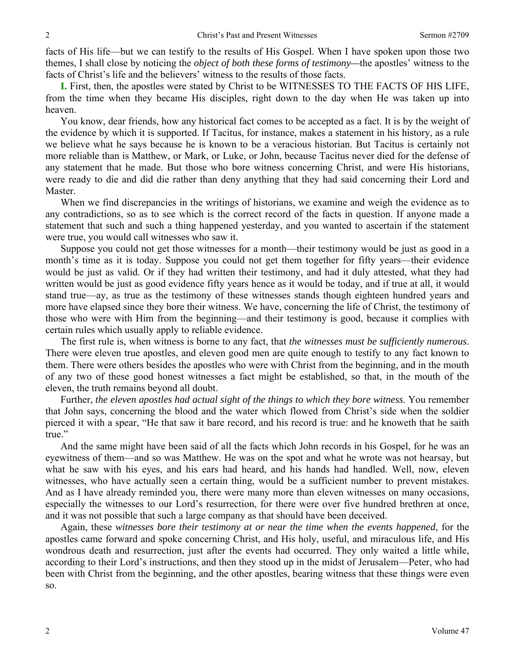facts of His life—but we can testify to the results of His Gospel. When I have spoken upon those two themes, I shall close by noticing the *object of both these forms of testimony—*the apostles' witness to the facts of Christ's life and the believers' witness to the results of those facts.

**I.** First, then, the apostles were stated by Christ to be WITNESSES TO THE FACTS OF HIS LIFE, from the time when they became His disciples, right down to the day when He was taken up into heaven.

 You know, dear friends, how any historical fact comes to be accepted as a fact. It is by the weight of the evidence by which it is supported. If Tacitus, for instance, makes a statement in his history, as a rule we believe what he says because he is known to be a veracious historian. But Tacitus is certainly not more reliable than is Matthew, or Mark, or Luke, or John, because Tacitus never died for the defense of any statement that he made. But those who bore witness concerning Christ, and were His historians, were ready to die and did die rather than deny anything that they had said concerning their Lord and Master.

 When we find discrepancies in the writings of historians, we examine and weigh the evidence as to any contradictions, so as to see which is the correct record of the facts in question. If anyone made a statement that such and such a thing happened yesterday, and you wanted to ascertain if the statement were true, you would call witnesses who saw it.

 Suppose you could not get those witnesses for a month—their testimony would be just as good in a month's time as it is today. Suppose you could not get them together for fifty years—their evidence would be just as valid. Or if they had written their testimony, and had it duly attested, what they had written would be just as good evidence fifty years hence as it would be today, and if true at all, it would stand true—ay, as true as the testimony of these witnesses stands though eighteen hundred years and more have elapsed since they bore their witness. We have, concerning the life of Christ, the testimony of those who were with Him from the beginning—and their testimony is good, because it complies with certain rules which usually apply to reliable evidence.

 The first rule is, when witness is borne to any fact, that *the witnesses must be sufficiently numerous*. There were eleven true apostles, and eleven good men are quite enough to testify to any fact known to them. There were others besides the apostles who were with Christ from the beginning, and in the mouth of any two of these good honest witnesses a fact might be established, so that, in the mouth of the eleven, the truth remains beyond all doubt.

 Further, *the eleven apostles had actual sight of the things to which they bore witness*. You remember that John says, concerning the blood and the water which flowed from Christ's side when the soldier pierced it with a spear, "He that saw it bare record, and his record is true: and he knoweth that he saith true."

 And the same might have been said of all the facts which John records in his Gospel, for he was an eyewitness of them—and so was Matthew. He was on the spot and what he wrote was not hearsay, but what he saw with his eyes, and his ears had heard, and his hands had handled. Well, now, eleven witnesses, who have actually seen a certain thing, would be a sufficient number to prevent mistakes. And as I have already reminded you, there were many more than eleven witnesses on many occasions, especially the witnesses to our Lord's resurrection, for there were over five hundred brethren at once, and it was not possible that such a large company as that should have been deceived.

 Again, these *witnesses bore their testimony at or near the time when the events happened*, for the apostles came forward and spoke concerning Christ, and His holy, useful, and miraculous life, and His wondrous death and resurrection, just after the events had occurred. They only waited a little while, according to their Lord's instructions, and then they stood up in the midst of Jerusalem—Peter, who had been with Christ from the beginning, and the other apostles, bearing witness that these things were even so.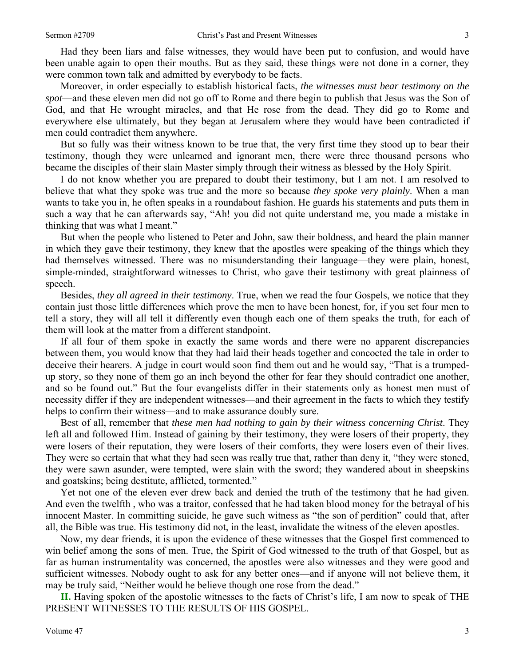Had they been liars and false witnesses, they would have been put to confusion, and would have been unable again to open their mouths. But as they said, these things were not done in a corner, they were common town talk and admitted by everybody to be facts.

 Moreover, in order especially to establish historical facts, *the witnesses must bear testimony on the spot*—and these eleven men did not go off to Rome and there begin to publish that Jesus was the Son of God, and that He wrought miracles, and that He rose from the dead. They did go to Rome and everywhere else ultimately, but they began at Jerusalem where they would have been contradicted if men could contradict them anywhere.

 But so fully was their witness known to be true that, the very first time they stood up to bear their testimony, though they were unlearned and ignorant men, there were three thousand persons who became the disciples of their slain Master simply through their witness as blessed by the Holy Spirit.

 I do not know whether you are prepared to doubt their testimony, but I am not. I am resolved to believe that what they spoke was true and the more so because *they spoke very plainly*. When a man wants to take you in, he often speaks in a roundabout fashion. He guards his statements and puts them in such a way that he can afterwards say, "Ah! you did not quite understand me, you made a mistake in thinking that was what I meant."

 But when the people who listened to Peter and John, saw their boldness, and heard the plain manner in which they gave their testimony, they knew that the apostles were speaking of the things which they had themselves witnessed. There was no misunderstanding their language—they were plain, honest, simple-minded, straightforward witnesses to Christ, who gave their testimony with great plainness of speech.

 Besides, *they all agreed in their testimony*. True, when we read the four Gospels, we notice that they contain just those little differences which prove the men to have been honest, for, if you set four men to tell a story, they will all tell it differently even though each one of them speaks the truth, for each of them will look at the matter from a different standpoint.

 If all four of them spoke in exactly the same words and there were no apparent discrepancies between them, you would know that they had laid their heads together and concocted the tale in order to deceive their hearers. A judge in court would soon find them out and he would say, "That is a trumpedup story, so they none of them go an inch beyond the other for fear they should contradict one another, and so be found out." But the four evangelists differ in their statements only as honest men must of necessity differ if they are independent witnesses—and their agreement in the facts to which they testify helps to confirm their witness—and to make assurance doubly sure.

 Best of all, remember that *these men had nothing to gain by their witness concerning Christ*. They left all and followed Him. Instead of gaining by their testimony, they were losers of their property, they were losers of their reputation, they were losers of their comforts, they were losers even of their lives. They were so certain that what they had seen was really true that, rather than deny it, "they were stoned, they were sawn asunder, were tempted, were slain with the sword; they wandered about in sheepskins and goatskins; being destitute, afflicted, tormented."

 Yet not one of the eleven ever drew back and denied the truth of the testimony that he had given. And even the twelfth , who was a traitor, confessed that he had taken blood money for the betrayal of his innocent Master. In committing suicide, he gave such witness as "the son of perdition" could that, after all, the Bible was true. His testimony did not, in the least, invalidate the witness of the eleven apostles.

 Now, my dear friends, it is upon the evidence of these witnesses that the Gospel first commenced to win belief among the sons of men. True, the Spirit of God witnessed to the truth of that Gospel, but as far as human instrumentality was concerned, the apostles were also witnesses and they were good and sufficient witnesses. Nobody ought to ask for any better ones—and if anyone will not believe them, it may be truly said, "Neither would he believe though one rose from the dead."

**II.** Having spoken of the apostolic witnesses to the facts of Christ's life, I am now to speak of THE PRESENT WITNESSES TO THE RESULTS OF HIS GOSPEL.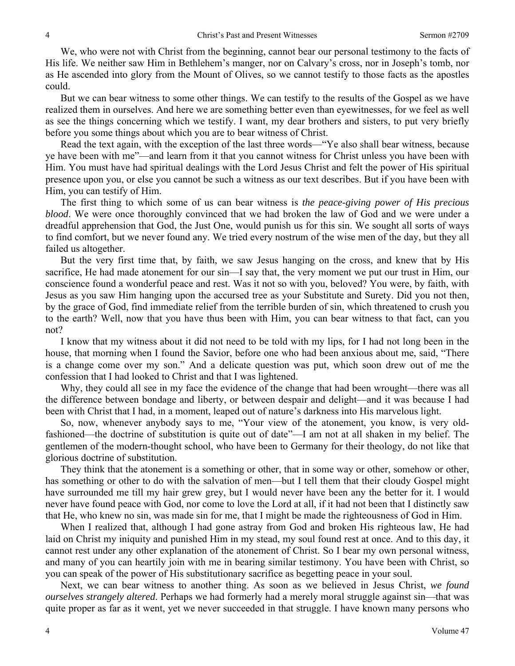We, who were not with Christ from the beginning, cannot bear our personal testimony to the facts of His life. We neither saw Him in Bethlehem's manger, nor on Calvary's cross, nor in Joseph's tomb, nor as He ascended into glory from the Mount of Olives, so we cannot testify to those facts as the apostles could.

 But we can bear witness to some other things. We can testify to the results of the Gospel as we have realized them in ourselves. And here we are something better even than eyewitnesses, for we feel as well as see the things concerning which we testify. I want, my dear brothers and sisters, to put very briefly before you some things about which you are to bear witness of Christ.

 Read the text again, with the exception of the last three words—"Ye also shall bear witness, because ye have been with me"—and learn from it that you cannot witness for Christ unless you have been with Him. You must have had spiritual dealings with the Lord Jesus Christ and felt the power of His spiritual presence upon you, or else you cannot be such a witness as our text describes. But if you have been with Him, you can testify of Him.

 The first thing to which some of us can bear witness is *the peace-giving power of His precious blood*. We were once thoroughly convinced that we had broken the law of God and we were under a dreadful apprehension that God, the Just One, would punish us for this sin. We sought all sorts of ways to find comfort, but we never found any. We tried every nostrum of the wise men of the day, but they all failed us altogether.

 But the very first time that, by faith, we saw Jesus hanging on the cross, and knew that by His sacrifice, He had made atonement for our sin—I say that, the very moment we put our trust in Him, our conscience found a wonderful peace and rest. Was it not so with you, beloved? You were, by faith, with Jesus as you saw Him hanging upon the accursed tree as your Substitute and Surety. Did you not then, by the grace of God, find immediate relief from the terrible burden of sin, which threatened to crush you to the earth? Well, now that you have thus been with Him, you can bear witness to that fact, can you not?

 I know that my witness about it did not need to be told with my lips, for I had not long been in the house, that morning when I found the Savior, before one who had been anxious about me, said, "There is a change come over my son." And a delicate question was put, which soon drew out of me the confession that I had looked to Christ and that I was lightened.

 Why, they could all see in my face the evidence of the change that had been wrought—there was all the difference between bondage and liberty, or between despair and delight—and it was because I had been with Christ that I had, in a moment, leaped out of nature's darkness into His marvelous light.

 So, now, whenever anybody says to me, "Your view of the atonement, you know, is very oldfashioned—the doctrine of substitution is quite out of date"—I am not at all shaken in my belief. The gentlemen of the modern-thought school, who have been to Germany for their theology, do not like that glorious doctrine of substitution.

 They think that the atonement is a something or other, that in some way or other, somehow or other, has something or other to do with the salvation of men—but I tell them that their cloudy Gospel might have surrounded me till my hair grew grey, but I would never have been any the better for it. I would never have found peace with God, nor come to love the Lord at all, if it had not been that I distinctly saw that He, who knew no sin, was made sin for me, that I might be made the righteousness of God in Him.

 When I realized that, although I had gone astray from God and broken His righteous law, He had laid on Christ my iniquity and punished Him in my stead, my soul found rest at once. And to this day, it cannot rest under any other explanation of the atonement of Christ. So I bear my own personal witness, and many of you can heartily join with me in bearing similar testimony. You have been with Christ, so you can speak of the power of His substitutionary sacrifice as begetting peace in your soul.

 Next, we can bear witness to another thing. As soon as we believed in Jesus Christ, *we found ourselves strangely altered*. Perhaps we had formerly had a merely moral struggle against sin—that was quite proper as far as it went, yet we never succeeded in that struggle. I have known many persons who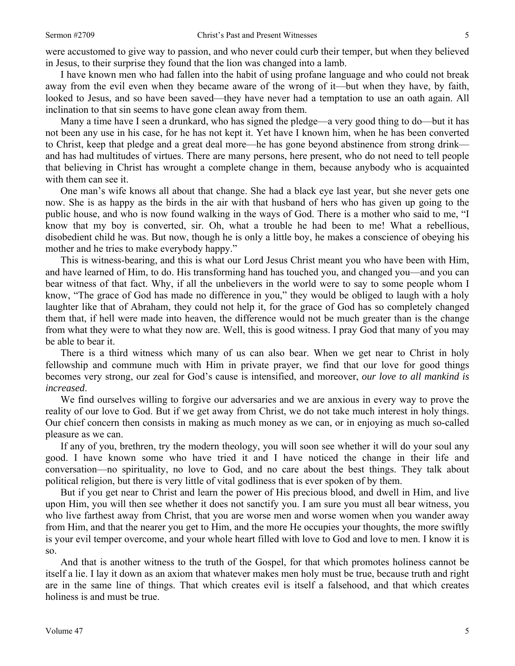were accustomed to give way to passion, and who never could curb their temper, but when they believed in Jesus, to their surprise they found that the lion was changed into a lamb.

 I have known men who had fallen into the habit of using profane language and who could not break away from the evil even when they became aware of the wrong of it—but when they have, by faith, looked to Jesus, and so have been saved—they have never had a temptation to use an oath again. All inclination to that sin seems to have gone clean away from them.

 Many a time have I seen a drunkard, who has signed the pledge—a very good thing to do—but it has not been any use in his case, for he has not kept it. Yet have I known him, when he has been converted to Christ, keep that pledge and a great deal more—he has gone beyond abstinence from strong drink and has had multitudes of virtues. There are many persons, here present, who do not need to tell people that believing in Christ has wrought a complete change in them, because anybody who is acquainted with them can see it.

 One man's wife knows all about that change. She had a black eye last year, but she never gets one now. She is as happy as the birds in the air with that husband of hers who has given up going to the public house, and who is now found walking in the ways of God. There is a mother who said to me, "I know that my boy is converted, sir. Oh, what a trouble he had been to me! What a rebellious, disobedient child he was. But now, though he is only a little boy, he makes a conscience of obeying his mother and he tries to make everybody happy."

 This is witness-bearing, and this is what our Lord Jesus Christ meant you who have been with Him, and have learned of Him, to do. His transforming hand has touched you, and changed you—and you can bear witness of that fact. Why, if all the unbelievers in the world were to say to some people whom I know, "The grace of God has made no difference in you," they would be obliged to laugh with a holy laughter like that of Abraham, they could not help it, for the grace of God has so completely changed them that, if hell were made into heaven, the difference would not be much greater than is the change from what they were to what they now are. Well, this is good witness. I pray God that many of you may be able to bear it.

 There is a third witness which many of us can also bear. When we get near to Christ in holy fellowship and commune much with Him in private prayer, we find that our love for good things becomes very strong, our zeal for God's cause is intensified, and moreover, *our love to all mankind is increased*.

 We find ourselves willing to forgive our adversaries and we are anxious in every way to prove the reality of our love to God. But if we get away from Christ, we do not take much interest in holy things. Our chief concern then consists in making as much money as we can, or in enjoying as much so-called pleasure as we can.

 If any of you, brethren, try the modern theology, you will soon see whether it will do your soul any good. I have known some who have tried it and I have noticed the change in their life and conversation—no spirituality, no love to God, and no care about the best things. They talk about political religion, but there is very little of vital godliness that is ever spoken of by them.

 But if you get near to Christ and learn the power of His precious blood, and dwell in Him, and live upon Him, you will then see whether it does not sanctify you. I am sure you must all bear witness, you who live farthest away from Christ, that you are worse men and worse women when you wander away from Him, and that the nearer you get to Him, and the more He occupies your thoughts, the more swiftly is your evil temper overcome, and your whole heart filled with love to God and love to men. I know it is so.

 And that is another witness to the truth of the Gospel, for that which promotes holiness cannot be itself a lie. I lay it down as an axiom that whatever makes men holy must be true, because truth and right are in the same line of things. That which creates evil is itself a falsehood, and that which creates holiness is and must be true.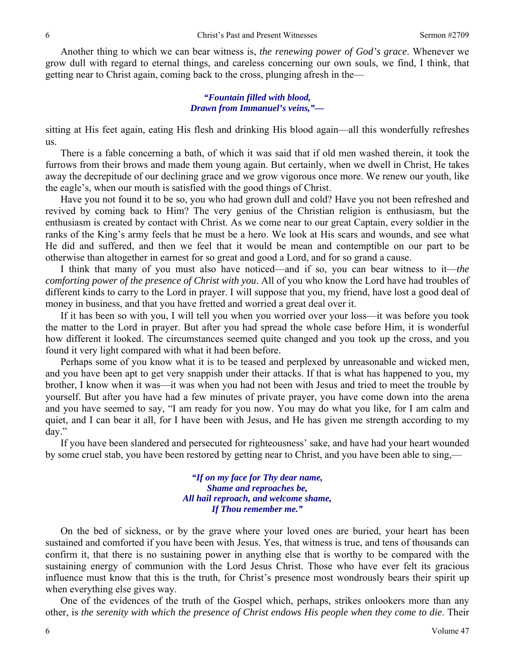Another thing to which we can bear witness is, *the renewing power of God's grace*. Whenever we grow dull with regard to eternal things, and careless concerning our own souls, we find, I think, that getting near to Christ again, coming back to the cross, plunging afresh in the—

#### *"Fountain filled with blood, Drawn from Immanuel's veins,"—*

sitting at His feet again, eating His flesh and drinking His blood again—all this wonderfully refreshes us.

 There is a fable concerning a bath, of which it was said that if old men washed therein, it took the furrows from their brows and made them young again. But certainly, when we dwell in Christ, He takes away the decrepitude of our declining grace and we grow vigorous once more. We renew our youth, like the eagle's, when our mouth is satisfied with the good things of Christ.

 Have you not found it to be so, you who had grown dull and cold? Have you not been refreshed and revived by coming back to Him? The very genius of the Christian religion is enthusiasm, but the enthusiasm is created by contact with Christ. As we come near to our great Captain, every soldier in the ranks of the King's army feels that he must be a hero. We look at His scars and wounds, and see what He did and suffered, and then we feel that it would be mean and contemptible on our part to be otherwise than altogether in earnest for so great and good a Lord, and for so grand a cause.

 I think that many of you must also have noticed—and if so, you can bear witness to it—*the comforting power of the presence of Christ with you*. All of you who know the Lord have had troubles of different kinds to carry to the Lord in prayer. I will suppose that you, my friend, have lost a good deal of money in business, and that you have fretted and worried a great deal over it.

 If it has been so with you, I will tell you when you worried over your loss—it was before you took the matter to the Lord in prayer. But after you had spread the whole case before Him, it is wonderful how different it looked. The circumstances seemed quite changed and you took up the cross, and you found it very light compared with what it had been before.

 Perhaps some of you know what it is to be teased and perplexed by unreasonable and wicked men, and you have been apt to get very snappish under their attacks. If that is what has happened to you, my brother, I know when it was—it was when you had not been with Jesus and tried to meet the trouble by yourself. But after you have had a few minutes of private prayer, you have come down into the arena and you have seemed to say, "I am ready for you now. You may do what you like, for I am calm and quiet, and I can bear it all, for I have been with Jesus, and He has given me strength according to my day."

 If you have been slandered and persecuted for righteousness' sake, and have had your heart wounded by some cruel stab, you have been restored by getting near to Christ, and you have been able to sing,—

> *"If on my face for Thy dear name, Shame and reproaches be, All hail reproach, and welcome shame, If Thou remember me."*

 On the bed of sickness, or by the grave where your loved ones are buried, your heart has been sustained and comforted if you have been with Jesus. Yes, that witness is true, and tens of thousands can confirm it, that there is no sustaining power in anything else that is worthy to be compared with the sustaining energy of communion with the Lord Jesus Christ. Those who have ever felt its gracious influence must know that this is the truth, for Christ's presence most wondrously bears their spirit up when everything else gives way.

 One of the evidences of the truth of the Gospel which, perhaps, strikes onlookers more than any other, is *the serenity with which the presence of Christ endows His people when they come to die*. Their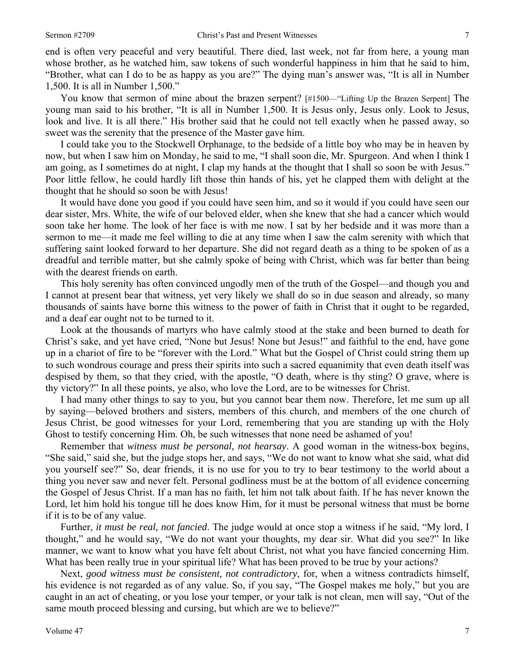end is often very peaceful and very beautiful. There died, last week, not far from here, a young man whose brother, as he watched him, saw tokens of such wonderful happiness in him that he said to him, "Brother, what can I do to be as happy as you are?" The dying man's answer was, "It is all in Number 1,500. It is all in Number 1,500."

You know that sermon of mine about the brazen serpent? [#1500—"Lifting Up the Brazen Serpent] The young man said to his brother, "It is all in Number 1,500. It is Jesus only, Jesus only. Look to Jesus, look and live. It is all there." His brother said that he could not tell exactly when he passed away, so sweet was the serenity that the presence of the Master gave him.

 I could take you to the Stockwell Orphanage, to the bedside of a little boy who may be in heaven by now, but when I saw him on Monday, he said to me, "I shall soon die, Mr. Spurgeon. And when I think I am going, as I sometimes do at night, I clap my hands at the thought that I shall so soon be with Jesus." Poor little fellow, he could hardly lift those thin hands of his, yet he clapped them with delight at the thought that he should so soon be with Jesus!

 It would have done you good if you could have seen him, and so it would if you could have seen our dear sister, Mrs. White, the wife of our beloved elder, when she knew that she had a cancer which would soon take her home. The look of her face is with me now. I sat by her bedside and it was more than a sermon to me—it made me feel willing to die at any time when I saw the calm serenity with which that suffering saint looked forward to her departure. She did not regard death as a thing to be spoken of as a dreadful and terrible matter, but she calmly spoke of being with Christ, which was far better than being with the dearest friends on earth.

 This holy serenity has often convinced ungodly men of the truth of the Gospel—and though you and I cannot at present bear that witness, yet very likely we shall do so in due season and already, so many thousands of saints have borne this witness to the power of faith in Christ that it ought to be regarded, and a deaf ear ought not to be turned to it.

 Look at the thousands of martyrs who have calmly stood at the stake and been burned to death for Christ's sake, and yet have cried, "None but Jesus! None but Jesus!" and faithful to the end, have gone up in a chariot of fire to be "forever with the Lord." What but the Gospel of Christ could string them up to such wondrous courage and press their spirits into such a sacred equanimity that even death itself was despised by them, so that they cried, with the apostle, "O death, where is thy sting? O grave, where is thy victory?" In all these points, ye also, who love the Lord, are to be witnesses for Christ.

 I had many other things to say to you, but you cannot bear them now. Therefore, let me sum up all by saying—beloved brothers and sisters, members of this church, and members of the one church of Jesus Christ, be good witnesses for your Lord, remembering that you are standing up with the Holy Ghost to testify concerning Him. Oh, be such witnesses that none need be ashamed of you!

 Remember that *witness must be personal, not hearsay*. A good woman in the witness-box begins, "She said," said she, but the judge stops her, and says, "We do not want to know what she said, what did you yourself see?" So, dear friends, it is no use for you to try to bear testimony to the world about a thing you never saw and never felt. Personal godliness must be at the bottom of all evidence concerning the Gospel of Jesus Christ. If a man has no faith, let him not talk about faith. If he has never known the Lord, let him hold his tongue till he does know Him, for it must be personal witness that must be borne if it is to be of any value.

 Further, *it must be real, not fancied*. The judge would at once stop a witness if he said, "My lord, I thought," and he would say, "We do not want your thoughts, my dear sir. What did you see?" In like manner, we want to know what you have felt about Christ, not what you have fancied concerning Him. What has been really true in your spiritual life? What has been proved to be true by your actions?

 Next, *good witness must be consistent, not contradictory*, for, when a witness contradicts himself, his evidence is not regarded as of any value. So, if you say, "The Gospel makes me holy," but you are caught in an act of cheating, or you lose your temper, or your talk is not clean, men will say, "Out of the same mouth proceed blessing and cursing, but which are we to believe?"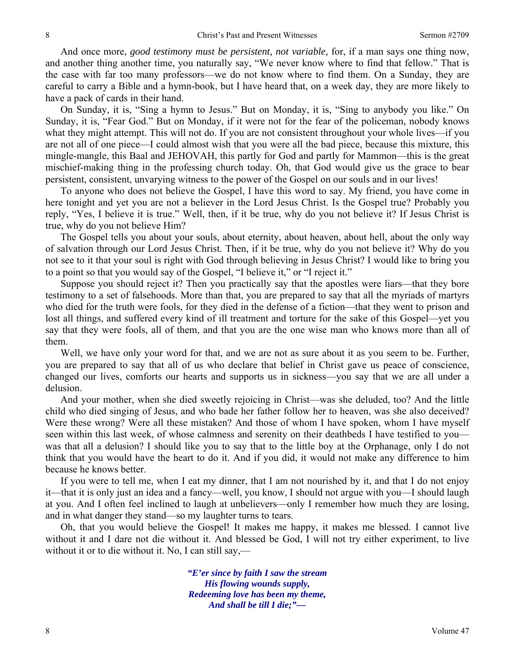And once more, *good testimony must be persistent, not variable,* for, if a man says one thing now, and another thing another time, you naturally say, "We never know where to find that fellow." That is the case with far too many professors—we do not know where to find them. On a Sunday, they are careful to carry a Bible and a hymn-book, but I have heard that, on a week day, they are more likely to have a pack of cards in their hand.

 On Sunday, it is, "Sing a hymn to Jesus." But on Monday, it is, "Sing to anybody you like." On Sunday, it is, "Fear God." But on Monday, if it were not for the fear of the policeman, nobody knows what they might attempt. This will not do. If you are not consistent throughout your whole lives—if you are not all of one piece—I could almost wish that you were all the bad piece, because this mixture, this mingle-mangle, this Baal and JEHOVAH, this partly for God and partly for Mammon—this is the great mischief-making thing in the professing church today. Oh, that God would give us the grace to bear persistent, consistent, unvarying witness to the power of the Gospel on our souls and in our lives!

 To anyone who does not believe the Gospel, I have this word to say. My friend, you have come in here tonight and yet you are not a believer in the Lord Jesus Christ. Is the Gospel true? Probably you reply, "Yes, I believe it is true." Well, then, if it be true, why do you not believe it? If Jesus Christ is true, why do you not believe Him?

 The Gospel tells you about your souls, about eternity, about heaven, about hell, about the only way of salvation through our Lord Jesus Christ. Then, if it be true, why do you not believe it? Why do you not see to it that your soul is right with God through believing in Jesus Christ? I would like to bring you to a point so that you would say of the Gospel, "I believe it," or "I reject it."

 Suppose you should reject it? Then you practically say that the apostles were liars—that they bore testimony to a set of falsehoods. More than that, you are prepared to say that all the myriads of martyrs who died for the truth were fools, for they died in the defense of a fiction—that they went to prison and lost all things, and suffered every kind of ill treatment and torture for the sake of this Gospel—yet you say that they were fools, all of them, and that you are the one wise man who knows more than all of them.

 Well, we have only your word for that, and we are not as sure about it as you seem to be. Further, you are prepared to say that all of us who declare that belief in Christ gave us peace of conscience, changed our lives, comforts our hearts and supports us in sickness—you say that we are all under a delusion.

 And your mother, when she died sweetly rejoicing in Christ—was she deluded, too? And the little child who died singing of Jesus, and who bade her father follow her to heaven, was she also deceived? Were these wrong? Were all these mistaken? And those of whom I have spoken, whom I have myself seen within this last week, of whose calmness and serenity on their deathbeds I have testified to you was that all a delusion? I should like you to say that to the little boy at the Orphanage, only I do not think that you would have the heart to do it. And if you did, it would not make any difference to him because he knows better.

 If you were to tell me, when I eat my dinner, that I am not nourished by it, and that I do not enjoy it—that it is only just an idea and a fancy—well, you know, I should not argue with you—I should laugh at you. And I often feel inclined to laugh at unbelievers—only I remember how much they are losing, and in what danger they stand—so my laughter turns to tears.

 Oh, that you would believe the Gospel! It makes me happy, it makes me blessed. I cannot live without it and I dare not die without it. And blessed be God, I will not try either experiment, to live without it or to die without it. No, I can still say,—

> *"E'er since by faith I saw the stream His flowing wounds supply, Redeeming love has been my theme, And shall be till I die;"—*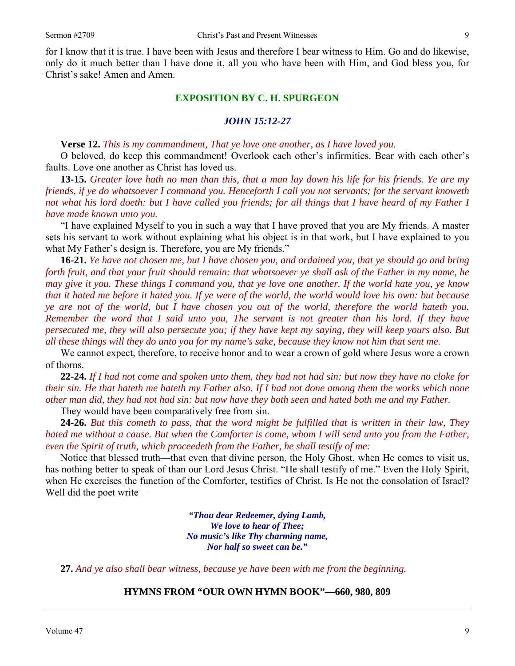for I know that it is true. I have been with Jesus and therefore I bear witness to Him. Go and do likewise, only do it much better than I have done it, all you who have been with Him, and God bless you, for Christ's sake! Amen and Amen.

#### **EXPOSITION BY C. H. SPURGEON**

#### *JOHN 15:12-27*

**Verse 12.** *This is my commandment, That ye love one another, as I have loved you.* 

O beloved, do keep this commandment! Overlook each other's infirmities. Bear with each other's faults. Love one another as Christ has loved us.

**13-15.** *Greater love hath no man than this, that a man lay down his life for his friends. Ye are my friends, if ye do whatsoever I command you. Henceforth I call you not servants; for the servant knoweth not what his lord doeth: but I have called you friends; for all things that I have heard of my Father I have made known unto you.* 

"I have explained Myself to you in such a way that I have proved that you are My friends. A master sets his servant to work without explaining what his object is in that work, but I have explained to you what My Father's design is. Therefore, you are My friends."

**16-21.** *Ye have not chosen me, but I have chosen you, and ordained you, that ye should go and bring forth fruit, and that your fruit should remain: that whatsoever ye shall ask of the Father in my name, he may give it you. These things I command you, that ye love one another. If the world hate you, ye know that it hated me before it hated you. If ye were of the world, the world would love his own: but because ye are not of the world, but I have chosen you out of the world, therefore the world hateth you. Remember the word that I said unto you, The servant is not greater than his lord. If they have persecuted me, they will also persecute you; if they have kept my saying, they will keep yours also. But all these things will they do unto you for my name's sake, because they know not him that sent me.* 

We cannot expect, therefore, to receive honor and to wear a crown of gold where Jesus wore a crown of thorns.

**22-24.** *If I had not come and spoken unto them, they had not had sin: but now they have no cloke for their sin. He that hateth me hateth my Father also. If I had not done among them the works which none other man did, they had not had sin: but now have they both seen and hated both me and my Father.* 

They would have been comparatively free from sin.

**24-26.** *But this cometh to pass, that the word might be fulfilled that is written in their law, They hated me without a cause. But when the Comforter is come, whom I will send unto you from the Father, even the Spirit of truth, which proceedeth from the Father, he shall testify of me:* 

Notice that blessed truth—that even that divine person, the Holy Ghost, when He comes to visit us, has nothing better to speak of than our Lord Jesus Christ. "He shall testify of me." Even the Holy Spirit, when He exercises the function of the Comforter, testifies of Christ. Is He not the consolation of Israel? Well did the poet write—

> *"Thou dear Redeemer, dying Lamb, We love to hear of Thee; No music's like Thy charming name, Nor half so sweet can be."*

**27.** *And ye also shall bear witness, because ye have been with me from the beginning.*

#### **HYMNS FROM "OUR OWN HYMN BOOK"—660, 980, 809**